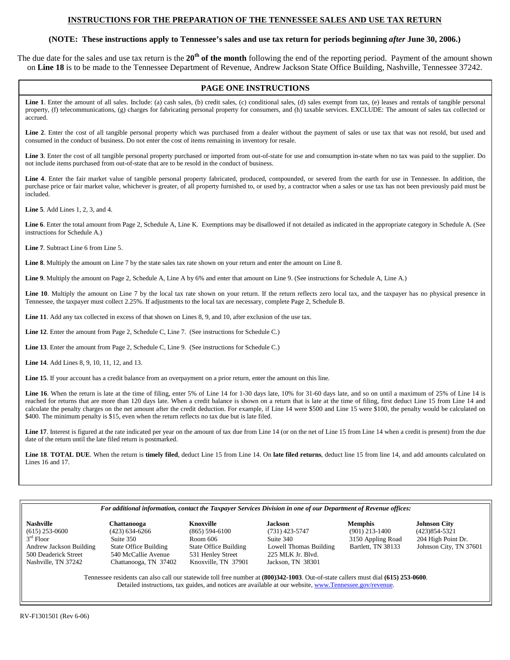# **INSTRUCTIONS FOR THE PREPARATION OF THE TENNESSEE SALES AND USE TAX RETURN**

## **(NOTE: These instructions apply to Tennessee's sales and use tax return for periods beginning** *after* **June 30, 2006.)**

The due date for the sales and use tax return is the **20th of the month** following the end of the reporting period. Payment of the amount shown on **Line 18** is to be made to the Tennessee Department of Revenue, Andrew Jackson State Office Building, Nashville, Tennessee 37242.

# **PAGE ONE INSTRUCTIONS**

Line 1. Enter the amount of all sales. Include: (a) cash sales, (b) credit sales, (c) conditional sales, (d) sales exempt from tax, (e) leases and rentals of tangible personal property, (f) telecommunications, (g) charges for fabricating personal property for consumers, and (h) taxable services. EXCLUDE: The amount of sales tax collected or accrued.

Line 2. Enter the cost of all tangible personal property which was purchased from a dealer without the payment of sales or use tax that was not resold, but used and consumed in the conduct of business. Do not enter the cost of items remaining in inventory for resale.

**Line 3**. Enter the cost of all tangible personal property purchased or imported from out-of-state for use and consumption in-state when no tax was paid to the supplier. Do not include items purchased from out-of-state that are to be resold in the conduct of business.

**Line 4**. Enter the fair market value of tangible personal property fabricated, produced, compounded, or severed from the earth for use in Tennessee. In addition, the purchase price or fair market value, whichever is greater, of all property furnished to, or used by, a contractor when a sales or use tax has not been previously paid must be included.

**Line 5**. Add Lines 1, 2, 3, and 4.

**Line 6**. Enter the total amount from Page 2, Schedule A, Line K. Exemptions may be disallowed if not detailed as indicated in the appropriate category in Schedule A. (See instructions for Schedule A.)

**Line 7**. Subtract Line 6 from Line 5.

**Line 8**. Multiply the amount on Line 7 by the state sales tax rate shown on your return and enter the amount on Line 8.

**Line 9**. Multiply the amount on Page 2, Schedule A, Line A by 6% and enter that amount on Line 9. (See instructions for Schedule A, Line A.)

Line 10. Multiply the amount on Line 7 by the local tax rate shown on your return. If the return reflects zero local tax, and the taxpayer has no physical presence in Tennessee, the taxpayer must collect 2.25%. If adjustments to the local tax are necessary, complete Page 2, Schedule B.

**Line 11**. Add any tax collected in excess of that shown on Lines 8, 9, and 10, after exclusion of the use tax.

**Line 12**. Enter the amount from Page 2, Schedule C, Line 7. (See instructions for Schedule C.)

**Line 13**. Enter the amount from Page 2, Schedule C, Line 9. (See instructions for Schedule C.)

**Line 14**. Add Lines 8, 9, 10, 11, 12, and 13.

Line 15. If your account has a credit balance from an overpayment on a prior return, enter the amount on this line.

Line 16. When the return is late at the time of filing, enter 5% of Line 14 for 1-30 days late, 10% for 31-60 days late, and so on until a maximum of 25% of Line 14 is reached for returns that are more than 120 days late. When a credit balance is shown on a return that is late at the time of filing, first deduct Line 15 from Line 14 and calculate the penalty charges on the net amount after the credit deduction. For example, if Line 14 were \$500 and Line 15 were \$100, the penalty would be calculated on \$400. The minimum penalty is \$15, even when the return reflects no tax due but is late filed.

Line 17. Interest is figured at the rate indicated per year on the amount of tax due from Line 14 (or on the net of Line 15 from Line 14 when a credit is present) from the due date of the return until the late filed return is postmarked.

**Line 18**. **TOTAL DUE**. When the return is **timely filed**, deduct Line 15 from Line 14. On **late filed returns**, deduct line 15 from line 14, and add amounts calculated on Lines 16 and 17.

#### *For additional information, contact the Taxpayer Services Division in one of our Department of Revenue offices:*

(615) 253-0600 (423) 634-6266 (865) 594-6100 (731) 423-5747 (901) 213-1400 (423)854-5321 3rd Floor Suite 350 Suite 350 Room 606 Suite 340 3150 Appling Road 204 High Point Dr.<br>Andrew Jackson Building State Office Building State Office Building Lowell Thomas Building Bartlett, TN 38133 Johnson City, TN 3 Andrew Jackson Building State Office Building State Office Building Lowell Thomas Building Bartlett, TN 38133 Johnson City, TN 37601<br>531 Henley Street 225 MLK Jr. Blvd. 500 Deaderick Street 540 McCallie Avenue 531 Henley Street 225 MLK Jr. Blvd. Chattanooga, TN 37402 Knoxville, TN 37901

**Nashville Chattanooga Knoxville Jackson Memphis Johnson City** 

Tennessee residents can also call our statewide toll free number at **(800)342-1003**. Out-of-state callers must dial **(615) 253-0600**. Detailed instructions, tax guides, and notices are available at our website, www.Tennessee.gov/revenue.